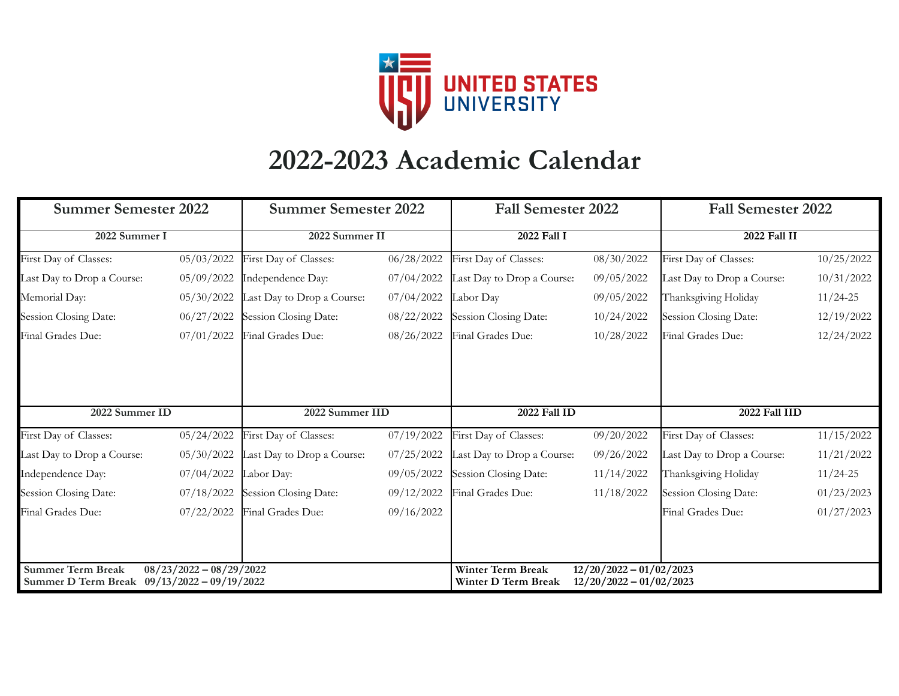

## **2022-2023 Academic Calendar**

| <b>Summer Semester 2022</b>                                                                          |            | <b>Summer Semester 2022</b> |            | <b>Fall Semester 2022</b>                                                                                 |            | <b>Fall Semester 2022</b>  |            |
|------------------------------------------------------------------------------------------------------|------------|-----------------------------|------------|-----------------------------------------------------------------------------------------------------------|------------|----------------------------|------------|
| 2022 Summer I                                                                                        |            | 2022 Summer II              |            | 2022 Fall I                                                                                               |            | 2022 Fall II               |            |
| First Day of Classes:                                                                                | 05/03/2022 | First Day of Classes:       | 06/28/2022 | First Day of Classes:                                                                                     | 08/30/2022 | First Day of Classes:      | 10/25/2022 |
| Last Day to Drop a Course:                                                                           | 05/09/2022 | Independence Day:           | 07/04/2022 | Last Day to Drop a Course:                                                                                | 09/05/2022 | Last Day to Drop a Course: | 10/31/2022 |
| Memorial Day:                                                                                        | 05/30/2022 | Last Day to Drop a Course:  | 07/04/2022 | Labor Day                                                                                                 | 09/05/2022 | Thanksgiving Holiday       | $11/24-25$ |
| Session Closing Date:                                                                                | 06/27/2022 | Session Closing Date:       | 08/22/2022 | Session Closing Date:                                                                                     | 10/24/2022 | Session Closing Date:      | 12/19/2022 |
| Final Grades Due:                                                                                    | 07/01/2022 | Final Grades Due:           | 08/26/2022 | Final Grades Due:                                                                                         | 10/28/2022 | Final Grades Due:          | 12/24/2022 |
|                                                                                                      |            |                             |            |                                                                                                           |            |                            |            |
| 2022 Summer ID                                                                                       |            | 2022 Summer IID             |            | 2022 Fall ID                                                                                              |            | 2022 Fall IID              |            |
| First Day of Classes:                                                                                | 05/24/2022 | First Day of Classes:       | 07/19/2022 | First Day of Classes:                                                                                     | 09/20/2022 | First Day of Classes:      | 11/15/2022 |
| Last Day to Drop a Course:                                                                           | 05/30/2022 | Last Day to Drop a Course:  | 07/25/2022 | Last Day to Drop a Course:                                                                                | 09/26/2022 | Last Day to Drop a Course: | 11/21/2022 |
| Independence Day:                                                                                    | 07/04/2022 | Labor Day:                  | 09/05/2022 | Session Closing Date:                                                                                     | 11/14/2022 | Thanksgiving Holiday       | $11/24-25$ |
| Session Closing Date:                                                                                | 07/18/2022 | Session Closing Date:       | 09/12/2022 | Final Grades Due:                                                                                         | 11/18/2022 | Session Closing Date:      | 01/23/2023 |
| Final Grades Due:                                                                                    | 07/22/2022 | Final Grades Due:           | 09/16/2022 |                                                                                                           |            | Final Grades Due:          | 01/27/2023 |
|                                                                                                      |            |                             |            |                                                                                                           |            |                            |            |
|                                                                                                      |            |                             |            |                                                                                                           |            |                            |            |
| <b>Summer Term Break</b><br>$08/23/2022 - 08/29/2022$<br>Summer D Term Break 09/13/2022 - 09/19/2022 |            |                             |            | <b>Winter Term Break</b><br>$12/20/2022 - 01/02/2023$<br>Winter D Term Break<br>$12/20/2022 - 01/02/2023$ |            |                            |            |